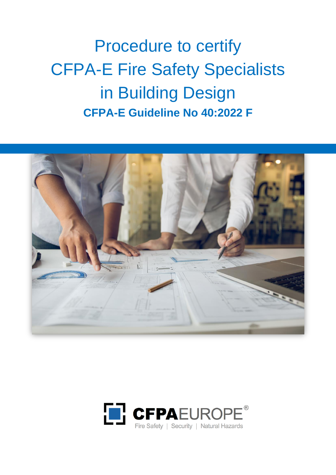# Procedure to certify CFPA-E Fire Safety Specialists in Building Design **CFPA-E Guideline No 40:2022 F**



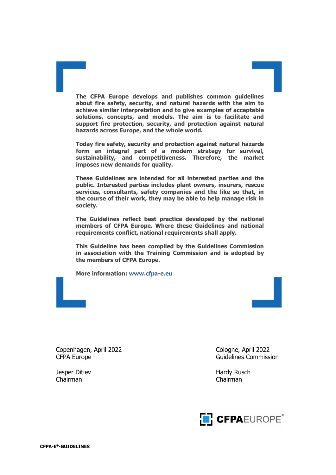**The CFPA Europe develops and publishes common guidelines about fire safety, security, and natural hazards with the aim to achieve similar interpretation and to give examples of acceptable solutions, concepts, and models. The aim is to facilitate and support fire protection, security, and protection against natural hazards across Europe, and the whole world.**

**Today fire safety, security and protection against natural hazards form an integral part of a modern strategy for survival, sustainability, and competitiveness. Therefore, the market imposes new demands for quality.**

**These Guidelines are intended for all interested parties and the public. Interested parties includes plant owners, insurers, rescue services, consultants, safety companies and the like so that, in the course of their work, they may be able to help manage risk in society.**

**The Guidelines reflect best practice developed by the national members of CFPA Europe. Where these Guidelines and national requirements conflict, national requirements shall apply.**

**This Guideline has been compiled by the Guidelines Commission in association with the Training Commission and is adopted by the members of CFPA Europe.**

**More information: [www.cfpa-e.eu](http://www.cfpa-e.eu/)**



Chairman Chairman

Jesper Ditlev **Hardy Rusch** Hardy Rusch

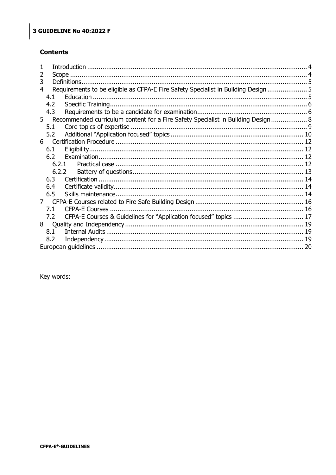#### **Contents**

| 3 |       |                                                                                    |  |  |  |
|---|-------|------------------------------------------------------------------------------------|--|--|--|
| 4 |       | Requirements to be eligible as CFPA-E Fire Safety Specialist in Building Design  5 |  |  |  |
|   | 4.1   |                                                                                    |  |  |  |
|   | 4.2   |                                                                                    |  |  |  |
|   | 4.3   |                                                                                    |  |  |  |
|   | $5 -$ | Recommended curriculum content for a Fire Safety Specialist in Building Design 8   |  |  |  |
|   | 5.1   |                                                                                    |  |  |  |
|   | 5.2   |                                                                                    |  |  |  |
|   |       |                                                                                    |  |  |  |
|   | 6.1   |                                                                                    |  |  |  |
|   | 6.2   |                                                                                    |  |  |  |
|   | 6.2.1 |                                                                                    |  |  |  |
|   | 6.2.2 |                                                                                    |  |  |  |
|   | 6.3   |                                                                                    |  |  |  |
|   | 6.4   |                                                                                    |  |  |  |
|   | 6.5   |                                                                                    |  |  |  |
|   | 7     |                                                                                    |  |  |  |
|   | 7.1   |                                                                                    |  |  |  |
|   | 7.2   |                                                                                    |  |  |  |
|   |       |                                                                                    |  |  |  |
|   | 8.1   |                                                                                    |  |  |  |
|   | 8.2   |                                                                                    |  |  |  |
|   |       |                                                                                    |  |  |  |
|   |       |                                                                                    |  |  |  |

Key words: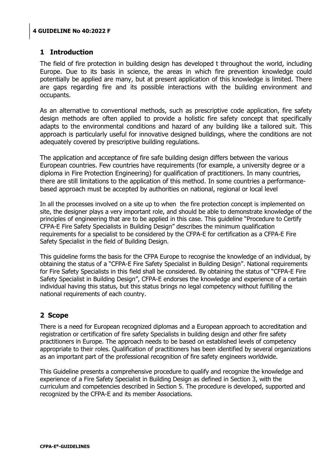## <span id="page-3-0"></span>**1 Introduction**

The field of fire protection in building design has developed t throughout the world, including Europe. Due to its basis in science, the areas in which fire prevention knowledge could potentially be applied are many, but at present application of this knowledge is limited. There are gaps regarding fire and its possible interactions with the building environment and occupants.

As an alternative to conventional methods, such as prescriptive code application, fire safety design methods are often applied to provide a holistic fire safety concept that specifically adapts to the environmental conditions and hazard of any building like a tailored suit. This approach is particularly useful for innovative designed buildings, where the conditions are not adequately covered by prescriptive building regulations.

The application and acceptance of fire safe building design differs between the various European countries. Few countries have requirements (for example, a university degree or a diploma in Fire Protection Engineering) for qualification of practitioners. In many countries, there are still limitations to the application of this method. In some countries a performancebased approach must be accepted by authorities on national, regional or local level

In all the processes involved on a site up to when the fire protection concept is implemented on site, the designer plays a very important role, and should be able to demonstrate knowledge of the principles of engineering that are to be applied in this case. This guideline "Procedure to Certify CFPA-E Fire Safety Specialists in Building Design" describes the minimum qualification requirements for a specialist to be considered by the CFPA-E for certification as a CFPA-E Fire Safety Specialist in the field of Building Design.

This guideline forms the basis for the CFPA Europe to recognise the knowledge of an individual, by obtaining the status of a "CFPA-E Fire Safety Specialist in Building Design". National requirements for Fire Safety Specialists in this field shall be considered. By obtaining the status of "CFPA-E Fire Safety Specialist in Building Design", CFPA-E endorses the knowledge and experience of a certain individual having this status, but this status brings no legal competency without fulfilling the national requirements of each country.

# <span id="page-3-1"></span>**2 Scope**

There is a need for European recognized diplomas and a European approach to accreditation and registration or certification of fire safety Specialists in building design and other fire safety practitioners in Europe. The approach needs to be based on established levels of competency appropriate to their roles. Qualification of practitioners has been identified by several organizations as an important part of the professional recognition of fire safety engineers worldwide.

This Guideline presents a comprehensive procedure to qualify and recognize the knowledge and experience of a Fire Safety Specialist in Building Design as defined in Section 3, with the curriculum and competencies described in Section 5. The procedure is developed, supported and recognized by the CFPA-E and its member Associations.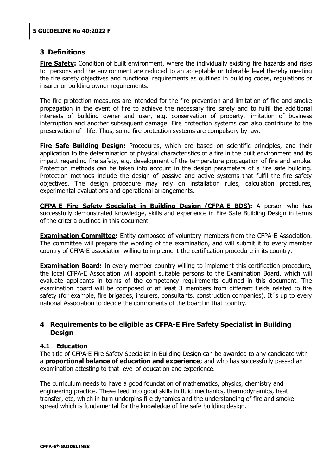## <span id="page-4-0"></span>**3 Definitions**

**Fire Safety:** Condition of built environment, where the individually existing fire hazards and risks to persons and the environment are reduced to an acceptable or tolerable level thereby meeting the fire safety objectives and functional requirements as outlined in building codes, regulations or insurer or building owner requirements.

The fire protection measures are intended for the fire prevention and limitation of fire and smoke propagation in the event of fire to achieve the necessary fire safety and to fulfil the additional interests of building owner and user, e.g. conservation of property, limitation of business interruption and another subsequent damage. Fire protection systems can also contribute to the preservation of life. Thus, some fire protection systems are compulsory by law.

**Fire Safe Building Design:** Procedures, which are based on scientific principles, and their application to the determination of physical characteristics of a fire in the built environment and its impact regarding fire safety, e.g. development of the temperature propagation of fire and smoke. Protection methods can be taken into account in the design parameters of a fire safe building. Protection methods include the design of passive and active systems that fulfil the fire safety objectives. The design procedure may rely on installation rules, calculation procedures, experimental evaluations and operational arrangements.

**CFPA-E Fire Safety Specialist in Building Design (CFPA-E BDS):** A person who has successfully demonstrated knowledge, skills and experience in Fire Safe Building Design in terms of the criteria outlined in this document.

**Examination Committee:** Entity composed of voluntary members from the CFPA-E Association. The committee will prepare the wording of the examination, and will submit it to every member country of CFPA-E association willing to implement the certification procedure in its country.

**Examination Board:** In every member country willing to implement this certification procedure, the local CFPA-E Association will appoint suitable persons to the Examination Board, which will evaluate applicants in terms of the competency requirements outlined in this document. The examination board will be composed of at least 3 members from different fields related to fire safety (for example, fire brigades, insurers, consultants, construction companies). It 's up to every national Association to decide the components of the board in that country.

## <span id="page-4-1"></span>**4 Requirements to be eligible as CFPA-E Fire Safety Specialist in Building Design**

#### <span id="page-4-2"></span>**4.1 Education**

The title of CFPA-E Fire Safety Specialist in Building Design can be awarded to any candidate with a **proportional balance of education and experience**; and who has successfully passed an examination attesting to that level of education and experience.

The curriculum needs to have a good foundation of mathematics, physics, chemistry and engineering practice. These feed into good skills in fluid mechanics, thermodynamics, heat transfer, etc, which in turn underpins fire dynamics and the understanding of fire and smoke spread which is fundamental for the knowledge of fire safe building design.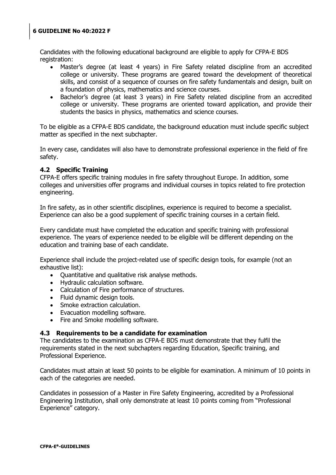Candidates with the following educational background are eligible to apply for CFPA-E BDS registration:

- Master"s degree (at least 4 years) in Fire Safety related discipline from an accredited college or university. These programs are geared toward the development of theoretical skills, and consist of a sequence of courses on fire safety fundamentals and design, built on a foundation of physics, mathematics and science courses.
- Bachelor's degree (at least 3 years) in Fire Safety related discipline from an accredited college or university. These programs are oriented toward application, and provide their students the basics in physics, mathematics and science courses.

To be eligible as a CFPA-E BDS candidate, the background education must include specific subject matter as specified in the next subchapter.

In every case, candidates will also have to demonstrate professional experience in the field of fire safety.

#### <span id="page-5-0"></span>**4.2 Specific Training**

CFPA-E offers specific training modules in fire safety throughout Europe. In addition, some colleges and universities offer programs and individual courses in topics related to fire protection engineering.

In fire safety, as in other scientific disciplines, experience is required to become a specialist. Experience can also be a good supplement of specific training courses in a certain field.

Every candidate must have completed the education and specific training with professional experience. The years of experience needed to be eligible will be different depending on the education and training base of each candidate.

Experience shall include the project-related use of specific design tools, for example (not an exhaustive list):

- Ouantitative and qualitative risk analyse methods.
- Hydraulic calculation software.
- Calculation of Fire performance of structures.
- Fluid dynamic design tools.
- Smoke extraction calculation.
- Evacuation modelling software.
- Fire and Smoke modelling software.

#### <span id="page-5-1"></span>**4.3 Requirements to be a candidate for examination**

The candidates to the examination as CFPA-E BDS must demonstrate that they fulfil the requirements stated in the next subchapters regarding Education, Specific training, and Professional Experience.

Candidates must attain at least 50 points to be eligible for examination. A minimum of 10 points in each of the categories are needed.

Candidates in possession of a Master in Fire Safety Engineering, accredited by a Professional Engineering Institution, shall only demonstrate at least 10 points coming from "Professional Experience" category.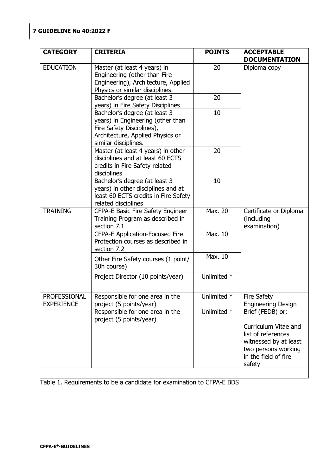| <b>CATEGORY</b>                   | <b>CRITERIA</b>                                                                                                                                             | <b>POINTS</b> | <b>ACCEPTABLE</b><br><b>DOCUMENTATION</b>                                                                                                        |
|-----------------------------------|-------------------------------------------------------------------------------------------------------------------------------------------------------------|---------------|--------------------------------------------------------------------------------------------------------------------------------------------------|
| <b>EDUCATION</b>                  | Master (at least 4 years) in<br>Engineering (other than Fire<br>Engineering), Architecture, Applied<br>Physics or similar disciplines.                      | 20            | Diploma copy                                                                                                                                     |
|                                   | Bachelor's degree (at least 3<br>years) in Fire Safety Disciplines                                                                                          | 20            |                                                                                                                                                  |
|                                   | Bachelor's degree (at least 3<br>years) in Engineering (other than<br>Fire Safety Disciplines),<br>Architecture, Applied Physics or<br>similar disciplines. | 10            |                                                                                                                                                  |
|                                   | Master (at least 4 years) in other<br>disciplines and at least 60 ECTS<br>credits in Fire Safety related<br>disciplines                                     | 20            |                                                                                                                                                  |
|                                   | Bachelor's degree (at least 3<br>years) in other disciplines and at<br>least 60 ECTS credits in Fire Safety<br>related disciplines                          | 10            |                                                                                                                                                  |
| <b>TRAINING</b>                   | CFPA-E Basic Fire Safety Engineer<br>Training Program as described in<br>section 7.1                                                                        | Max. 20       | Certificate or Diploma<br>(including<br>examination)                                                                                             |
|                                   | <b>CFPA-E Application-Focused Fire</b><br>Protection courses as described in<br>section 7.2                                                                 | Max. 10       |                                                                                                                                                  |
|                                   | Other Fire Safety courses (1 point/<br>30h course)                                                                                                          | Max. 10       |                                                                                                                                                  |
|                                   | Project Director (10 points/year)                                                                                                                           | Unlimited *   |                                                                                                                                                  |
| PROFESSIONAL<br><b>EXPERIENCE</b> | Responsible for one area in the<br>project (5 points/year)                                                                                                  | Unlimited *   | <b>Fire Safety</b><br><b>Engineering Design</b>                                                                                                  |
|                                   | Responsible for one area in the<br>project (5 points/year)                                                                                                  | Unlimited *   | Brief (FEDB) or;<br>Curriculum Vitae and<br>list of references<br>witnessed by at least<br>two persons working<br>in the field of fire<br>safety |

Table 1. Requirements to be a candidate for examination to CFPA-E BDS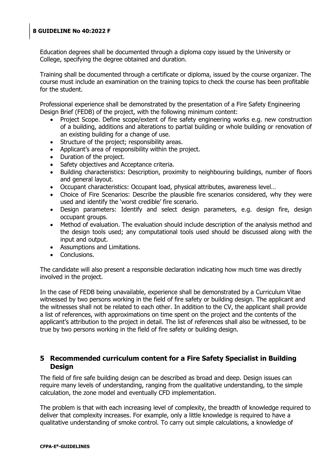Education degrees shall be documented through a diploma copy issued by the University or College, specifying the degree obtained and duration.

Training shall be documented through a certificate or diploma, issued by the course organizer. The course must include an examination on the training topics to check the course has been profitable for the student.

Professional experience shall be demonstrated by the presentation of a Fire Safety Engineering Design Brief (FEDB) of the project, with the following minimum content:

- Project Scope. Define scope/extent of fire safety engineering works e.g. new construction of a building, additions and alterations to partial building or whole building or renovation of an existing building for a change of use.
- Structure of the project; responsibility areas.
- Applicant's area of responsibility within the project.
- Duration of the project.
- Safety objectives and Acceptance criteria.
- Building characteristics: Description, proximity to neighbouring buildings, number of floors and general layout.
- Occupant characteristics: Occupant load, physical attributes, awareness level…
- Choice of Fire Scenarios: Describe the plausible fire scenarios considered, why they were used and identify the "worst credible" fire scenario.
- Design parameters: Identify and select design parameters, e.g. design fire, design occupant groups.
- Method of evaluation. The evaluation should include description of the analysis method and the design tools used; any computational tools used should be discussed along with the input and output.
- Assumptions and Limitations.
- Conclusions.

The candidate will also present a responsible declaration indicating how much time was directly involved in the project.

In the case of FEDB being unavailable, experience shall be demonstrated by a Curriculum Vitae witnessed by two persons working in the field of fire safety or building design. The applicant and the witnesses shall not be related to each other. In addition to the CV, the applicant shall provide a list of references, with approximations on time spent on the project and the contents of the applicant's attribution to the project in detail. The list of references shall also be witnessed, to be true by two persons working in the field of fire safety or building design.

## <span id="page-7-0"></span>**5 Recommended curriculum content for a Fire Safety Specialist in Building Design**

The field of fire safe building design can be described as broad and deep. Design issues can require many levels of understanding, ranging from the qualitative understanding, to the simple calculation, the zone model and eventually CFD implementation.

The problem is that with each increasing level of complexity, the breadth of knowledge required to deliver that complexity increases. For example, only a little knowledge is required to have a qualitative understanding of smoke control. To carry out simple calculations, a knowledge of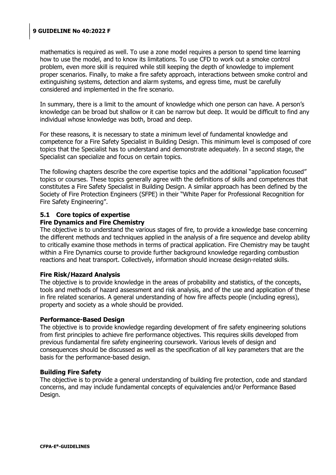mathematics is required as well. To use a zone model requires a person to spend time learning how to use the model, and to know its limitations. To use CFD to work out a smoke control problem, even more skill is required while still keeping the depth of knowledge to implement proper scenarios. Finally, to make a fire safety approach, interactions between smoke control and extinguishing systems, detection and alarm systems, and egress time, must be carefully considered and implemented in the fire scenario.

In summary, there is a limit to the amount of knowledge which one person can have. A person"s knowledge can be broad but shallow or it can be narrow but deep. It would be difficult to find any individual whose knowledge was both, broad and deep.

For these reasons, it is necessary to state a minimum level of fundamental knowledge and competence for a Fire Safety Specialist in Building Design. This minimum level is composed of core topics that the Specialist has to understand and demonstrate adequately. In a second stage, the Specialist can specialize and focus on certain topics.

The following chapters describe the core expertise topics and the additional "application focused" topics or courses. These topics generally agree with the definitions of skills and competences that constitutes a Fire Safety Specialist in Building Design. A similar approach has been defined by the Society of Fire Protection Engineers (SFPE) in their "White Paper for Professional Recognition for Fire Safety Engineering".

#### <span id="page-8-0"></span>**5.1 Core topics of expertise**

#### **Fire Dynamics and Fire Chemistry**

The objective is to understand the various stages of fire, to provide a knowledge base concerning the different methods and techniques applied in the analysis of a fire sequence and develop ability to critically examine those methods in terms of practical application. Fire Chemistry may be taught within a Fire Dynamics course to provide further background knowledge regarding combustion reactions and heat transport. Collectively, information should increase design-related skills.

#### **Fire Risk/Hazard Analysis**

The objective is to provide knowledge in the areas of probability and statistics, of the concepts, tools and methods of hazard assessment and risk analysis, and of the use and application of these in fire related scenarios. A general understanding of how fire affects people (including egress), property and society as a whole should be provided.

#### **Performance-Based Design**

The objective is to provide knowledge regarding development of fire safety engineering solutions from first principles to achieve fire performance objectives. This requires skills developed from previous fundamental fire safety engineering coursework. Various levels of design and consequences should be discussed as well as the specification of all key parameters that are the basis for the performance-based design.

#### **Building Fire Safety**

The objective is to provide a general understanding of building fire protection, code and standard concerns, and may include fundamental concepts of equivalencies and/or Performance Based Design.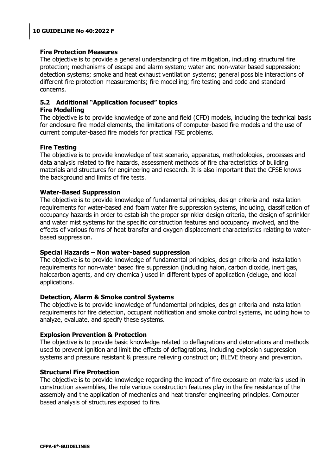#### **Fire Protection Measures**

The objective is to provide a general understanding of fire mitigation, including structural fire protection; mechanisms of escape and alarm system; water and non-water based suppression; detection systems; smoke and heat exhaust ventilation systems; general possible interactions of different fire protection measurements; fire modelling; fire testing and code and standard concerns.

## <span id="page-9-0"></span>**5.2 Additional "Application focused" topics**

#### **Fire Modelling**

The objective is to provide knowledge of zone and field (CFD) models, including the technical basis for enclosure fire model elements, the limitations of computer-based fire models and the use of current computer-based fire models for practical FSE problems.

## **Fire Testing**

The objective is to provide knowledge of test scenario, apparatus, methodologies, processes and data analysis related to fire hazards, assessment methods of fire characteristics of building materials and structures for engineering and research. It is also important that the CFSE knows the background and limits of fire tests.

#### **Water-Based Suppression**

The objective is to provide knowledge of fundamental principles, design criteria and installation requirements for water-based and foam water fire suppression systems, including, classification of occupancy hazards in order to establish the proper sprinkler design criteria, the design of sprinkler and water mist systems for the specific construction features and occupancy involved, and the effects of various forms of heat transfer and oxygen displacement characteristics relating to waterbased suppression.

#### **Special Hazards – Non water-based suppression**

The objective is to provide knowledge of fundamental principles, design criteria and installation requirements for non-water based fire suppression (including halon, carbon dioxide, inert gas, halocarbon agents, and dry chemical) used in different types of application (deluge, and local applications.

#### **Detection, Alarm & Smoke control Systems**

The objective is to provide knowledge of fundamental principles, design criteria and installation requirements for fire detection, occupant notification and smoke control systems, including how to analyze, evaluate, and specify these systems.

#### **Explosion Prevention & Protection**

The objective is to provide basic knowledge related to deflagrations and detonations and methods used to prevent ignition and limit the effects of deflagrations, including explosion suppression systems and pressure resistant & pressure relieving construction; BLEVE theory and prevention.

#### **Structural Fire Protection**

The objective is to provide knowledge regarding the impact of fire exposure on materials used in construction assemblies, the role various construction features play in the fire resistance of the assembly and the application of mechanics and heat transfer engineering principles. Computer based analysis of structures exposed to fire.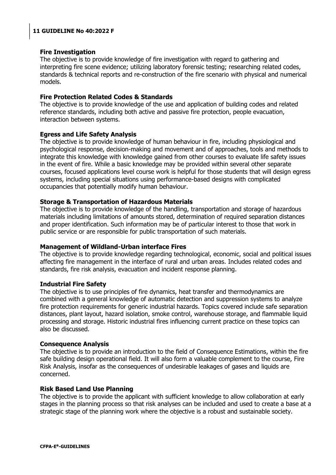#### **Fire Investigation**

The objective is to provide knowledge of fire investigation with regard to gathering and interpreting fire scene evidence; utilizing laboratory forensic testing; researching related codes, standards & technical reports and re-construction of the fire scenario with physical and numerical models.

#### **Fire Protection Related Codes & Standards**

The objective is to provide knowledge of the use and application of building codes and related reference standards, including both active and passive fire protection, people evacuation, interaction between systems.

#### **Egress and Life Safety Analysis**

The objective is to provide knowledge of human behaviour in fire, including physiological and psychological response, decision-making and movement and of approaches, tools and methods to integrate this knowledge with knowledge gained from other courses to evaluate life safety issues in the event of fire. While a basic knowledge may be provided within several other separate courses, focused applications level course work is helpful for those students that will design egress systems, including special situations using performance-based designs with complicated occupancies that potentially modify human behaviour.

#### **Storage & Transportation of Hazardous Materials**

The objective is to provide knowledge of the handling, transportation and storage of hazardous materials including limitations of amounts stored, determination of required separation distances and proper identification. Such information may be of particular interest to those that work in public service or are responsible for public transportation of such materials.

#### **Management of Wildland-Urban interface Fires**

The objective is to provide knowledge regarding technological, economic, social and political issues affecting fire management in the interface of rural and urban areas. Includes related codes and standards, fire risk analysis, evacuation and incident response planning.

#### **Industrial Fire Safety**

The objective is to use principles of fire dynamics, heat transfer and thermodynamics are combined with a general knowledge of automatic detection and suppression systems to analyze fire protection requirements for generic industrial hazards. Topics covered include safe separation distances, plant layout, hazard isolation, smoke control, warehouse storage, and flammable liquid processing and storage. Historic industrial fires influencing current practice on these topics can also be discussed.

#### **Consequence Analysis**

The objective is to provide an introduction to the field of Consequence Estimations, within the fire safe building design operational field. It will also form a valuable complement to the course, Fire Risk Analysis, insofar as the consequences of undesirable leakages of gases and liquids are concerned.

#### **Risk Based Land Use Planning**

The objective is to provide the applicant with sufficient knowledge to allow collaboration at early stages in the planning process so that risk analyses can be included and used to create a base at a strategic stage of the planning work where the objective is a robust and sustainable society.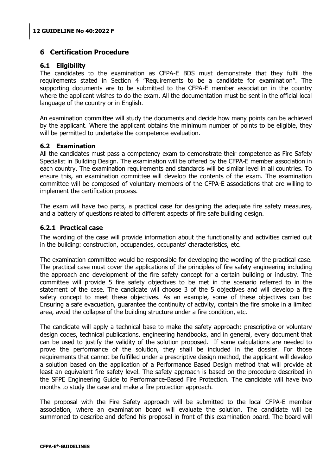## <span id="page-11-0"></span>**6 Certification Procedure**

#### <span id="page-11-1"></span>**6.1 Eligibility**

The candidates to the examination as CFPA-E BDS must demonstrate that they fulfil the requirements stated in Section 4 "Requirements to be a candidate for examination". The supporting documents are to be submitted to the CFPA-E member association in the country where the applicant wishes to do the exam. All the documentation must be sent in the official local language of the country or in English.

An examination committee will study the documents and decide how many points can be achieved by the applicant. Where the applicant obtains the minimum number of points to be eligible, they will be permitted to undertake the competence evaluation.

#### <span id="page-11-2"></span>**6.2 Examination**

All the candidates must pass a competency exam to demonstrate their competence as Fire Safety Specialist in Building Design. The examination will be offered by the CFPA-E member association in each country. The examination requirements and standards will be similar level in all countries. To ensure this, an examination committee will develop the contents of the exam. The examination committee will be composed of voluntary members of the CFPA-E associations that are willing to implement the certification process.

The exam will have two parts, a practical case for designing the adequate fire safety measures, and a battery of questions related to different aspects of fire safe building design.

#### <span id="page-11-3"></span>**6.2.1 Practical case**

The wording of the case will provide information about the functionality and activities carried out in the building: construction, occupancies, occupants' characteristics, etc.

The examination committee would be responsible for developing the wording of the practical case. The practical case must cover the applications of the principles of fire safety engineering including the approach and development of the fire safety concept for a certain building or industry. The committee will provide 5 fire safety objectives to be met in the scenario referred to in the statement of the case. The candidate will choose 3 of the 5 objectives and will develop a fire safety concept to meet these objectives. As an example, some of these objectives can be: Ensuring a safe evacuation, guarantee the continuity of activity, contain the fire smoke in a limited area, avoid the collapse of the building structure under a fire condition, etc.

The candidate will apply a technical base to make the safety approach: prescriptive or voluntary design codes, technical publications, engineering handbooks, and in general, every document that can be used to justify the validity of the solution proposed. If some calculations are needed to prove the performance of the solution, they shall be included in the dossier. For those requirements that cannot be fulfilled under a prescriptive design method, the applicant will develop a solution based on the application of a Performance Based Design method that will provide at least an equivalent fire safety level. The safety approach is based on the procedure described in the SFPE Engineering Guide to Performance-Based Fire Protection. The candidate will have two months to study the case and make a fire protection approach.

The proposal with the Fire Safety approach will be submitted to the local CFPA-E member association, where an examination board will evaluate the solution. The candidate will be summoned to describe and defend his proposal in front of this examination board. The board will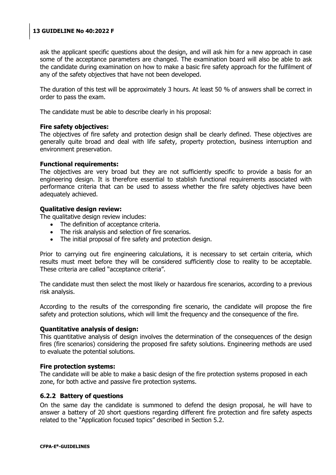ask the applicant specific questions about the design, and will ask him for a new approach in case some of the acceptance parameters are changed. The examination board will also be able to ask the candidate during examination on how to make a basic fire safety approach for the fulfilment of any of the safety objectives that have not been developed.

The duration of this test will be approximately 3 hours. At least 50 % of answers shall be correct in order to pass the exam.

The candidate must be able to describe clearly in his proposal:

#### **Fire safety objectives:**

The objectives of fire safety and protection design shall be clearly defined. These objectives are generally quite broad and deal with life safety, property protection, business interruption and environment preservation.

#### **Functional requirements:**

The objectives are very broad but they are not sufficiently specific to provide a basis for an engineering design. It is therefore essential to stablish functional requirements associated with performance criteria that can be used to assess whether the fire safety objectives have been adequately achieved.

#### **Qualitative design review:**

The qualitative design review includes:

- The definition of acceptance criteria.
- The risk analysis and selection of fire scenarios.
- The initial proposal of fire safety and protection design.

Prior to carrying out fire engineering calculations, it is necessary to set certain criteria, which results must meet before they will be considered sufficiently close to reality to be acceptable. These criteria are called "acceptance criteria".

The candidate must then select the most likely or hazardous fire scenarios, according to a previous risk analysis.

According to the results of the corresponding fire scenario, the candidate will propose the fire safety and protection solutions, which will limit the frequency and the consequence of the fire.

#### **Quantitative analysis of design:**

This quantitative analysis of design involves the determination of the consequences of the design fires (fire scenarios) considering the proposed fire safety solutions. Engineering methods are used to evaluate the potential solutions.

#### **Fire protection systems:**

The candidate will be able to make a basic design of the fire protection systems proposed in each zone, for both active and passive fire protection systems.

#### <span id="page-12-0"></span>**6.2.2 Battery of questions**

On the same day the candidate is summoned to defend the design proposal, he will have to answer a battery of 20 short questions regarding different fire protection and fire safety aspects related to the "Application focused topics" described in Section 5.2.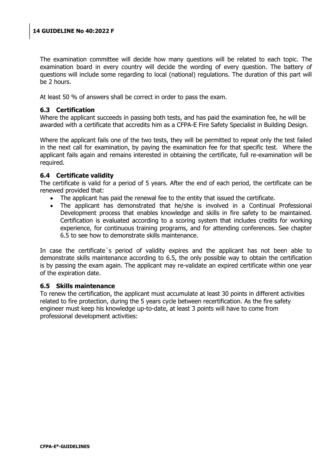The examination committee will decide how many questions will be related to each topic. The examination board in every country will decide the wording of every question. The battery of questions will include some regarding to local (national) regulations. The duration of this part will be 2 hours.

At least 50 % of answers shall be correct in order to pass the exam.

#### <span id="page-13-0"></span>**6.3 Certification**

Where the applicant succeeds in passing both tests, and has paid the examination fee, he will be awarded with a certificate that accredits him as a CFPA-E Fire Safety Specialist in Building Design.

Where the applicant fails one of the two tests, they will be permitted to repeat only the test failed in the next call for examination, by paying the examination fee for that specific test. Where the applicant fails again and remains interested in obtaining the certificate, full re-examination will be required.

#### <span id="page-13-1"></span>**6.4 Certificate validity**

The certificate is valid for a period of 5 years. After the end of each period, the certificate can be renewed provided that:

- The applicant has paid the renewal fee to the entity that issued the certificate.
- The applicant has demonstrated that he/she is involved in a Continual Professional Development process that enables knowledge and skills in fire safety to be maintained. Certification is evaluated according to a scoring system that includes credits for working experience, for continuous training programs, and for attending conferences. See chapter [6.5](#page-13-2) to see how to demonstrate skills maintenance.

In case the certificate´s period of validity expires and the applicant has not been able to demonstrate skills maintenance according to 6.5, the only possible way to obtain the certification is by passing the exam again. The applicant may re-validate an expired certificate within one year of the expiration date.

#### <span id="page-13-2"></span>**6.5 Skills maintenance**

To renew the certification, the applicant must accumulate at least 30 points in different activities related to fire protection, during the 5 years cycle between recertification. As the fire safety engineer must keep his knowledge up-to-date, at least 3 points will have to come from professional development activities: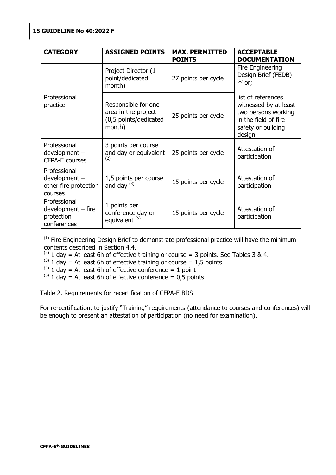| <b>CATEGORY</b>                                                                                                                               | <b>ASSIGNED POINTS</b>                                                        | <b>MAX. PERMITTED</b><br><b>POINTS</b> | <b>ACCEPTABLE</b><br><b>DOCUMENTATION</b>                                                                                  |  |  |
|-----------------------------------------------------------------------------------------------------------------------------------------------|-------------------------------------------------------------------------------|----------------------------------------|----------------------------------------------------------------------------------------------------------------------------|--|--|
|                                                                                                                                               | Project Director (1<br>point/dedicated<br>month)                              | 27 points per cycle                    | Fire Engineering<br>Design Brief (FEDB)<br>$^{(1)}$ or;                                                                    |  |  |
| Professional<br>practice                                                                                                                      | Responsible for one<br>area in the project<br>(0,5 points/dedicated<br>month) | 25 points per cycle                    | list of references<br>witnessed by at least<br>two persons working<br>in the field of fire<br>safety or building<br>design |  |  |
| Professional<br>development -<br><b>CFPA-E courses</b>                                                                                        | 3 points per course<br>and day or equivalent<br>(2)                           | 25 points per cycle                    | Attestation of<br>participation                                                                                            |  |  |
| Professional<br>development -<br>other fire protection<br>courses                                                                             | 1,5 points per course<br>and day $(3)$                                        | 15 points per cycle                    | Attestation of<br>participation                                                                                            |  |  |
| Professional<br>$development - fire$<br>protection<br>conferences                                                                             | 1 points per<br>conference day or<br>equivalent <sup>(5)</sup>                | 15 points per cycle                    | Attestation of<br>participation                                                                                            |  |  |
| <sup>(1)</sup> Fire Engineering Design Brief to demonstrate professional practice will have the minimum<br>contents described in Section 4.4. |                                                                               |                                        |                                                                                                                            |  |  |

<sup>(2)</sup> 1 day = At least 6h of effective training or course = 3 points. See Tables 3 & 4.

 $^{(3)}$  1 day = At least 6h of effective training or course = 1,5 points

 $^{(4)}$  1 day = At least 6h of effective conference = 1 point

 $^{(5)}$  1 day = At least 6h of effective conference = 0,5 points

Table 2. Requirements for recertification of CFPA-E BDS

For re-certification, to justify "Training" requirements (attendance to courses and conferences) will be enough to present an attestation of participation (no need for examination).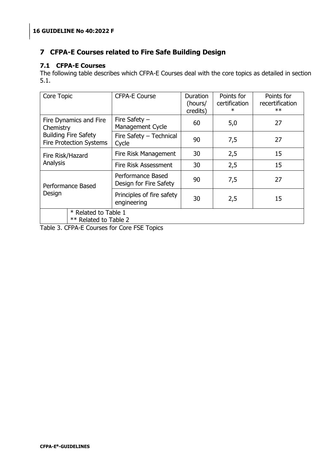## <span id="page-15-0"></span>**7 CFPA-E Courses related to Fire Safe Building Design**

#### <span id="page-15-1"></span>**7.1 CFPA-E Courses**

The following table describes which CFPA-E Courses deal with the core topics as detailed in section [5.1.](#page-8-0)

| Core Topic                                    |                                                               | <b>CFPA-E Course</b>                        | Duration<br>(hours/<br>credits) | Points for<br>certification<br>$\ast$ | Points for<br>recertification<br>$**$ |
|-----------------------------------------------|---------------------------------------------------------------|---------------------------------------------|---------------------------------|---------------------------------------|---------------------------------------|
| Fire Dynamics and Fire<br>Chemistry           |                                                               | Fire Safety $-$<br>Management Cycle         | 60                              | 5,0                                   | 27                                    |
|                                               | <b>Building Fire Safety</b><br><b>Fire Protection Systems</b> | Fire Safety - Technical<br>Cycle            | 90                              | 7,5                                   | 27                                    |
| Fire Risk/Hazard                              |                                                               | Fire Risk Management                        | 30                              | 2,5                                   | 15                                    |
| Analysis                                      |                                                               | <b>Fire Risk Assessment</b>                 | 30                              | 2,5                                   | 15                                    |
| Performance Based                             |                                                               | Performance Based<br>Design for Fire Safety | 90                              | 7,5                                   | 27                                    |
| Design                                        |                                                               | Principles of fire safety<br>engineering    | 30                              | 2,5                                   | 15                                    |
| * Related to Table 1<br>** Related to Table 2 |                                                               |                                             |                                 |                                       |                                       |

Table 3. CFPA-E Courses for Core FSE Topics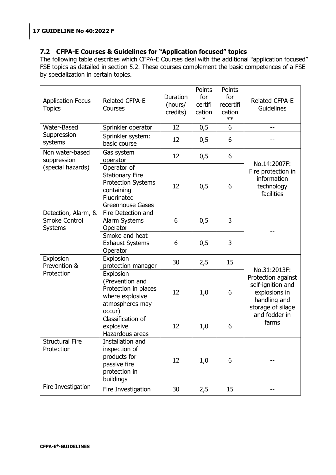## <span id="page-16-0"></span>**7.2 CFPA-E Courses & Guidelines for "Application focused" topics**

The following table describes which CFPA-E Courses deal with the additional "application focused" FSE topics as detailed in section [5.2.](#page-9-0) These courses complement the basic competences of a FSE by specialization in certain topics.

| <b>Application Focus</b><br><b>Topics</b>                     | <b>Related CFPA-E</b><br>Courses                                                                                           | Duration<br>(hours/<br>credits) | Points<br>for<br>certifi<br>cation<br>$\ast$ | Points<br>for<br>recertifi<br>cation<br>$**$ | <b>Related CFPA-E</b><br>Guidelines                                                                                            |
|---------------------------------------------------------------|----------------------------------------------------------------------------------------------------------------------------|---------------------------------|----------------------------------------------|----------------------------------------------|--------------------------------------------------------------------------------------------------------------------------------|
| <b>Water-Based</b>                                            | Sprinkler operator                                                                                                         | 12                              | 0,5                                          | 6                                            | --                                                                                                                             |
| Suppression<br>systems                                        | Sprinkler system:<br>basic course                                                                                          | 12                              | 0,5                                          | 6                                            |                                                                                                                                |
| Non water-based<br>suppression                                | Gas system<br>operator                                                                                                     | 12                              | 0,5                                          | 6                                            | No.14:2007F:                                                                                                                   |
| (special hazards)                                             | Operator of<br><b>Stationary Fire</b><br><b>Protection Systems</b><br>containing<br>Fluorinated<br><b>Greenhouse Gases</b> | 12                              | 0,5                                          | 6                                            | Fire protection in<br>information<br>technology<br>facilities                                                                  |
| Detection, Alarm, &<br><b>Smoke Control</b><br><b>Systems</b> | Fire Detection and<br>Alarm Systems<br>Operator                                                                            | 6                               | 0,5                                          | 3                                            |                                                                                                                                |
|                                                               | Smoke and heat<br><b>Exhaust Systems</b><br>Operator                                                                       | 6                               | 0,5                                          | 3                                            |                                                                                                                                |
| Explosion<br>Prevention &                                     | Explosion<br>protection manager                                                                                            | 30                              | 2,5                                          | 15                                           |                                                                                                                                |
| Protection                                                    | Explosion<br>(Prevention and<br>Protection in places<br>where explosive<br>atmospheres may<br>occur)                       | 12                              | 1,0                                          | 6                                            | No.31:2013F:<br>Protection against<br>self-ignition and<br>explosions in<br>handling and<br>storage of silage<br>and fodder in |
|                                                               | Classification of<br>explosive<br>Hazardous areas                                                                          | 12                              | 1,0                                          | 6                                            | farms                                                                                                                          |
| <b>Structural Fire</b><br>Protection                          | Installation and<br>inspection of<br>products for<br>passive fire<br>protection in<br>buildings                            | 12                              | 1,0                                          | 6                                            |                                                                                                                                |
| Fire Investigation                                            | Fire Investigation                                                                                                         | 30                              | 2,5                                          | 15                                           | --                                                                                                                             |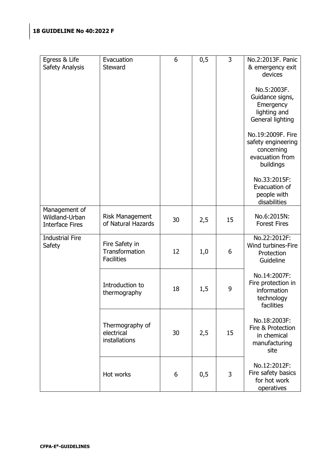| Egress & Life<br>Safety Analysis                          | Evacuation<br><b>Steward</b>                          | 6  | 0,5 | 3  | No.2:2013F. Panic<br>& emergency exit<br>devices                                      |
|-----------------------------------------------------------|-------------------------------------------------------|----|-----|----|---------------------------------------------------------------------------------------|
|                                                           |                                                       |    |     |    | No.5:2003F.<br>Guidance signs,<br>Emergency<br>lighting and<br>General lighting       |
|                                                           |                                                       |    |     |    | No.19:2009F. Fire<br>safety engineering<br>concerning<br>evacuation from<br>buildings |
|                                                           |                                                       |    |     |    | No.33:2015F:<br>Evacuation of<br>people with<br>disabilities                          |
| Management of<br>Wildland-Urban<br><b>Interface Fires</b> | <b>Risk Management</b><br>of Natural Hazards          | 30 | 2,5 | 15 | No.6:2015N:<br><b>Forest Fires</b>                                                    |
| <b>Industrial Fire</b><br>Safety                          | Fire Safety in<br>Transformation<br><b>Facilities</b> | 12 | 1,0 | 6  | No.22:2012F:<br>Wind turbines-Fire<br>Protection<br>Guideline                         |
|                                                           | Introduction to<br>thermography                       | 18 | 1,5 | 9  | No.14:2007F:<br>Fire protection in<br>information<br>technology<br>facilities         |
|                                                           | Thermography of<br>electrical<br>installations        | 30 | 2,5 | 15 | No.18:2003F:<br>Fire & Protection<br>in chemical<br>manufacturing<br>site             |
|                                                           | Hot works                                             | 6  | 0,5 | 3  | No.12:2012F:<br>Fire safety basics<br>for hot work<br>operatives                      |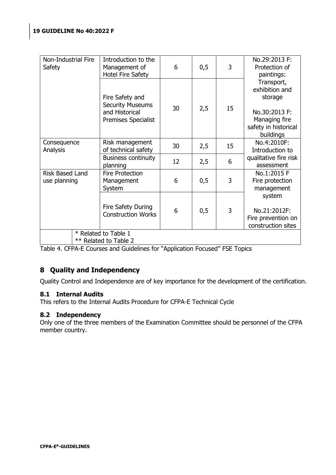| Transport,<br>exhibition and<br>Fire Safety and<br>storage<br><b>Security Museums</b><br>30<br>2,5<br>15<br>and Historical<br>No.30:2013 F:<br>Managing fire<br>Premises Specialist<br>buildings<br>No.4:2010F:<br>Risk management<br>Consequence<br>15<br>30<br>2,5<br>of technical safety<br>Analysis<br>Introduction to | Non-Industrial Fire<br>Safety | Introduction to the<br>Management of<br>Hotel Fire Safety | 6  | 0,5 | 3 | No.29:2013 F:<br>Protection of<br>paintings: |
|----------------------------------------------------------------------------------------------------------------------------------------------------------------------------------------------------------------------------------------------------------------------------------------------------------------------------|-------------------------------|-----------------------------------------------------------|----|-----|---|----------------------------------------------|
|                                                                                                                                                                                                                                                                                                                            |                               |                                                           |    |     |   | safety in historical                         |
|                                                                                                                                                                                                                                                                                                                            |                               |                                                           |    |     |   |                                              |
| assessment<br>planning                                                                                                                                                                                                                                                                                                     |                               | <b>Business continuity</b>                                | 12 | 2,5 | 6 | qualitative fire risk                        |
| Risk Based Land<br>No.1:2015 F<br><b>Fire Protection</b><br>3<br>0,5<br>6<br>use planning<br>Management<br>Fire protection<br>System<br>management                                                                                                                                                                         |                               |                                                           |    |     |   |                                              |
| system<br>Fire Safety During<br>3<br>0,5<br>6<br>No.21:2012F:<br><b>Construction Works</b>                                                                                                                                                                                                                                 |                               |                                                           |    |     |   | Fire prevention on<br>construction sites     |
| * Related to Table 1<br>** Related to Table 2                                                                                                                                                                                                                                                                              |                               |                                                           |    |     |   |                                              |

<span id="page-18-0"></span>Table 4. CFPA-E Courses and Guidelines for "Application Focused" FSE Topics

## **8 Quality and Independency**

Quality Control and Independence are of key importance for the development of the certification.

## <span id="page-18-1"></span>**8.1 Internal Audits**

This refers to the Internal Audits Procedure for CFPA-E Technical Cycle

## <span id="page-18-2"></span>**8.2 Independency**

Only one of the three members of the Examination Committee should be personnel of the CFPA member country.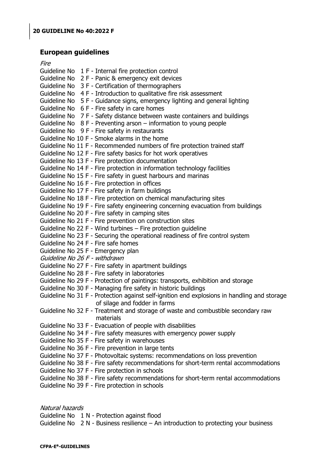## <span id="page-19-0"></span>**European guidelines**

#### Fire

| 1 II C                                                                                      |
|---------------------------------------------------------------------------------------------|
| Guideline No 1 F - Internal fire protection control                                         |
| Guideline No 2 F - Panic & emergency exit devices                                           |
| Guideline No 3 F - Certification of thermographers                                          |
| Guideline No 4 F - Introduction to qualitative fire risk assessment                         |
| Guideline No 5 F - Guidance signs, emergency lighting and general lighting                  |
| Guideline No 6 F - Fire safety in care homes                                                |
| Guideline No 7 F - Safety distance between waste containers and buildings                   |
| Guideline No $8$ F - Preventing arson – information to young people                         |
| Guideline No 9 F - Fire safety in restaurants                                               |
| Guideline No 10 F - Smoke alarms in the home                                                |
| Guideline No 11 F - Recommended numbers of fire protection trained staff                    |
| Guideline No 12 F - Fire safety basics for hot work operatives                              |
| Guideline No 13 F - Fire protection documentation                                           |
| Guideline No 14 F - Fire protection in information technology facilities                    |
| Guideline No 15 F - Fire safety in guest harbours and marinas                               |
| Guideline No 16 F - Fire protection in offices                                              |
| Guideline No 17 F - Fire safety in farm buildings                                           |
| Guideline No 18 F - Fire protection on chemical manufacturing sites                         |
| Guideline No 19 F - Fire safety engineering concerning evacuation from buildings            |
| Guideline No 20 F - Fire safety in camping sites                                            |
| Guideline No 21 F - Fire prevention on construction sites                                   |
| Guideline No 22 F - Wind turbines - Fire protection guideline                               |
| Guideline No 23 F - Securing the operational readiness of fire control system               |
| Guideline No 24 F - Fire safe homes                                                         |
| Guideline No 25 F - Emergency plan                                                          |
| Guideline No 26 F - withdrawn                                                               |
| Guideline No 27 F - Fire safety in apartment buildings                                      |
| Guideline No 28 F - Fire safety in laboratories                                             |
| Guideline No 29 F - Protection of paintings: transports, exhibition and storage             |
| Guideline No 30 F - Managing fire safety in historic buildings                              |
| Guideline No 31 F - Protection against self-ignition end explosions in handling and storage |
| of silage and fodder in farms                                                               |
| Guideline No 32 F - Treatment and storage of waste and combustible secondary raw            |
| materials                                                                                   |
| Guideline No 33 F - Evacuation of people with disabilities                                  |
| Guideline No 34 F - Fire safety measures with emergency power supply                        |
| Guideline No 35 F - Fire safety in warehouses                                               |
| Guideline No 36 F - Fire prevention in large tents                                          |
| Guideline No 37 F - Photovoltaic systems: recommendations on loss prevention                |
| Guideline No 38 F - Fire safety recommendations for short-term rental accommodations        |
| Guideline No 37 F - Fire protection in schools                                              |
| Guideline No 38 F - Fire safety recommendations for short-term rental accommodations        |
| Guideline No 39 F - Fire protection in schools                                              |

## Natural hazards

Guideline No 1 N - Protection against flood Guideline No 2 N - Business resilience – An introduction to protecting your business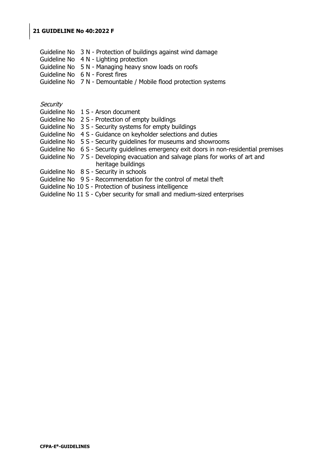Guideline No 3 N - Protection of buildings against wind damage Guideline No 4 N - Lighting protection Guideline No 5 N - Managing heavy snow loads on roofs Guideline No 6 N - Forest fires Guideline No 7 N - Demountable / Mobile flood protection systems

#### **Security**

- Guideline No 1 S Arson document
- Guideline No 2 S Protection of empty buildings
- Guideline No 3 S Security systems for empty buildings
- Guideline No 4 S Guidance on keyholder selections and duties
- Guideline No 5 S Security guidelines for museums and showrooms
- Guideline No 6 S Security guidelines emergency exit doors in non-residential premises
- Guideline No 7 S Developing evacuation and salvage plans for works of art and heritage buildings
- Guideline No 8 S Security in schools
- Guideline No 9 S Recommendation for the control of metal theft
- Guideline No 10 S Protection of business intelligence
- Guideline No 11 S Cyber security for small and medium-sized enterprises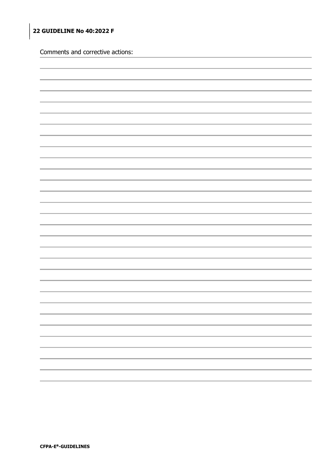Comments and corrective actions:

| <u> The Common Section of the Common Section of</u> |
|-----------------------------------------------------|
|                                                     |
| and in                                              |
| a a                                                 |
|                                                     |
| the control of the control of the control of        |
|                                                     |
| the control of the control of the control of        |
|                                                     |
| the control of the control of the con-              |